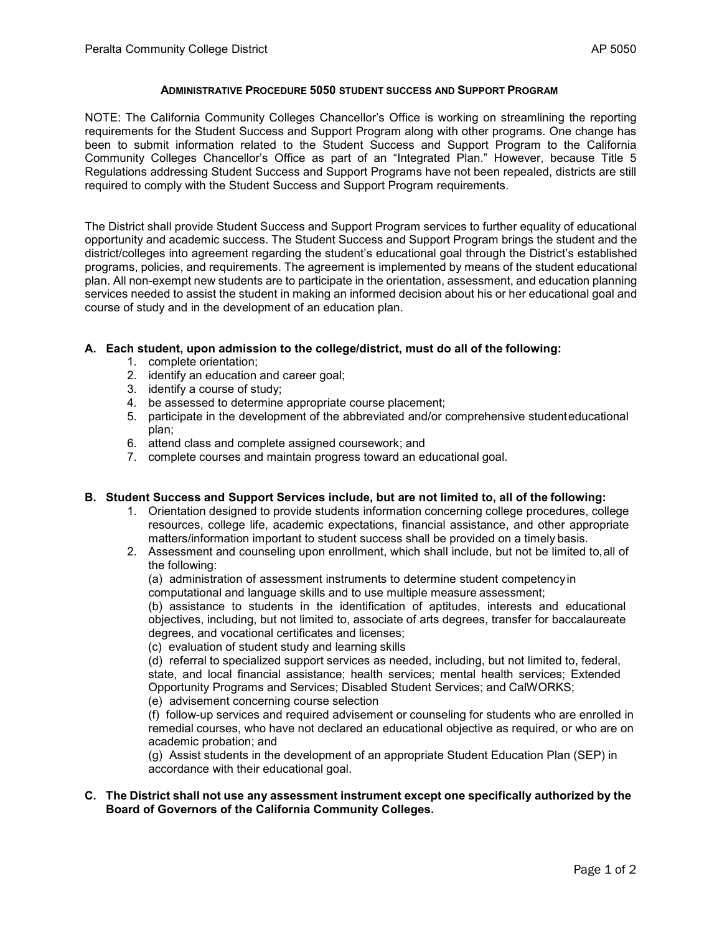### **ADMINISTRATIVE PROCEDURE 5050 STUDENT SUCCESS AND SUPPORT PROGRAM**

NOTE: The California Community Colleges Chancellor's Office is working on streamlining the reporting requirements for the Student Success and Support Program along with other programs. One change has been to submit information related to the Student Success and Support Program to the California Community Colleges Chancellor's Office as part of an "Integrated Plan." However, because Title 5 Regulations addressing Student Success and Support Programs have not been repealed, districts are still required to comply with the Student Success and Support Program requirements.

The District shall provide Student Success and Support Program services to further equality of educational opportunity and academic success. The Student Success and Support Program brings the student and the district/colleges into agreement regarding the student's educational goal through the District's established programs, policies, and requirements. The agreement is implemented by means of the student educational plan. All non-exempt new students are to participate in the orientation, assessment, and education planning services needed to assist the student in making an informed decision about his or her educational goal and course of study and in the development of an education plan.

### **A. Each student, upon admission to the college/district, must do all of the following:**

- 1. complete orientation;
- 2. identify an education and career goal;
- 3. identify a course of study;
- 4. be assessed to determine appropriate course placement;
- 5. participate in the development of the abbreviated and/or comprehensive studenteducational plan;
- 6. attend class and complete assigned coursework; and
- 7. complete courses and maintain progress toward an educational goal.

#### **B. Student Success and Support Services include, but are not limited to, all of the following:**

- 1. Orientation designed to provide students information concerning college procedures, college resources, college life, academic expectations, financial assistance, and other appropriate matters/information important to student success shall be provided on a timely basis.
- 2. Assessment and counseling upon enrollment, which shall include, but not be limited to,all of the following:

(a) administration of assessment instruments to determine student competencyin computational and language skills and to use multiple measure assessment;

(b) assistance to students in the identification of aptitudes, interests and educational objectives, including, but not limited to, associate of arts degrees, transfer for baccalaureate degrees, and vocational certificates and licenses;

(c) evaluation of student study and learning skills

(d) referral to specialized support services as needed, including, but not limited to, federal, state, and local financial assistance; health services; mental health services; Extended Opportunity Programs and Services; Disabled Student Services; and CalWORKS;

(e) advisement concerning course selection

(f) follow-up services and required advisement or counseling for students who are enrolled in remedial courses, who have not declared an educational objective as required, or who are on academic probation; and

(g) Assist students in the development of an appropriate Student Education Plan (SEP) in accordance with their educational goal.

### **C. The District shall not use any assessment instrument except one specifically authorized by the Board of Governors of the California Community Colleges.**